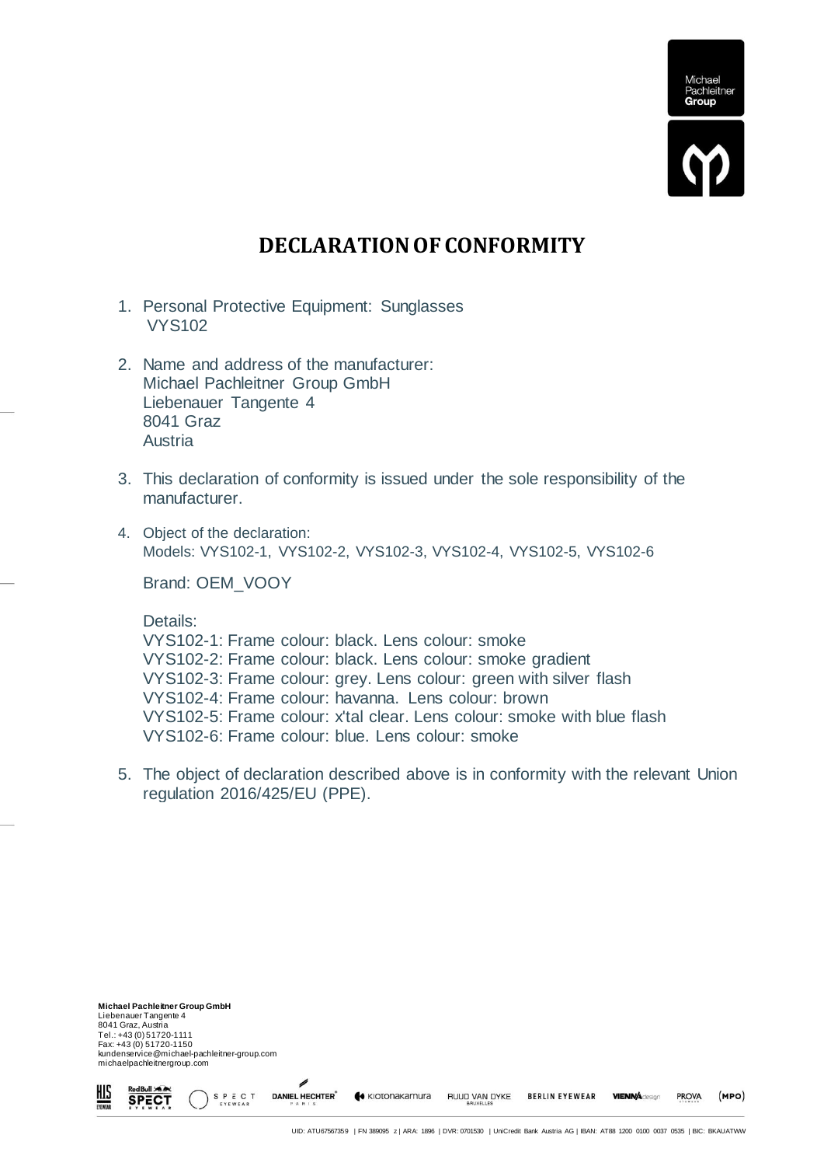

## **DECLARATION OF CONFORMITY**

- 1. Personal Protective Equipment: Sunglasses VYS102
- 2. Name and address of the manufacturer: Michael Pachleitner Group GmbH Liebenauer Tangente 4 8041 Graz Austria
- 3. This declaration of conformity is issued under the sole responsibility of the manufacturer.
- 4. Object of the declaration: Models: VYS102-1, VYS102-2, VYS102-3, VYS102-4, VYS102-5, VYS102-6

Brand: OEM\_VOOY

Details:

VYS102-1: Frame colour: black. Lens colour: smoke VYS102-2: Frame colour: black. Lens colour: smoke gradient VYS102-3: Frame colour: grey. Lens colour: green with silver flash VYS102-4: Frame colour: havanna. Lens colour: brown VYS102-5: Frame colour: x'tal clear. Lens colour: smoke with blue flash VYS102-6: Frame colour: blue. Lens colour: smoke

5. The object of declaration described above is in conformity with the relevant Union regulation 2016/425/EU (PPE).